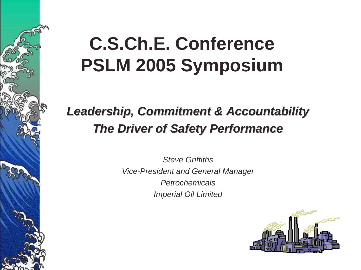# **C.S.Ch.E. Conference PSLM 2005 Symposium**

### *Leadership, Commitment & Accountability Leadership, Commitment & Accountability The Driver of Safety Performance The Driver of Safety Performance*

*Steve GriffithsVice-President and General Manager PetrochemicalsImperial Oil Limited*

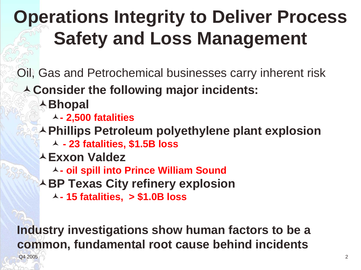# **Operations Integrity to Deliver Process Safety and Loss Management**

Oil, Gas and Petrochemical businesses carry inherent risk

- **Consider the following major incidents:**
	- **Bhopal** 
		- **- 2,500 fatalities**
	- **Phillips Petroleum polyethylene plant explosion**
		- **- 23 fatalities, \$1.5B loss**
	- **Exxon Valdez** 
		- **- oil spill into Prince William Sound**
	- **ABP Texas City refinery explosion** 
		- **- 15 fatalities, > \$1.0B loss**

**Industry investigations show human factors to be a common, fundamental root cause behind incidents**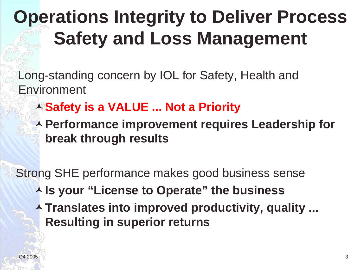# **Operations Integrity to Deliver Process Safety and Loss Management**

Long-standing concern by IOL for Safety, Health and Environment

- **Safety is a VALUE ... Not a Priority**
- **Performance improvement requires Leadership for break through results**

Strong SHE performance makes good business sense **Is your "License to Operate" the business**

**Translates into improved productivity, quality ... Resulting in superior returns**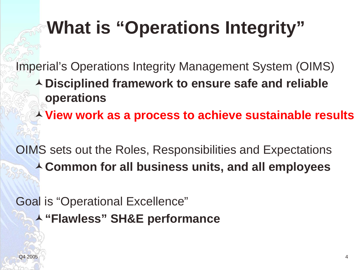# **What is "Operations Integrity"**

Imperial's Operations Integrity Management System (OIMS) **Disciplined framework to ensure safe and reliable operations**

**View work as a process to achieve sustainable results**

OIMS sets out the Roles, Responsibilities and Expectations **Common for all business units, and all employees**

Goal is "Operational Excellence" **"Flawless" SH&E performance**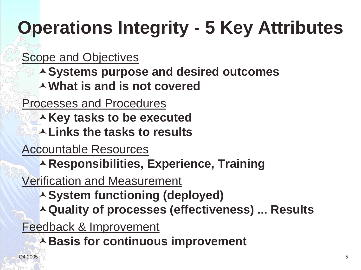# **Operations Integrity - 5 Key Attributes**

Scope and Objectives

- **Systems purpose and desired outcomes**
- **What is and is not covered**

Processes and Procedures

- **AKey tasks to be executed**
- **Links the tasks to results**

Accountable Resources

**A Responsibilities, Experience, Training** 

Verification and Measurement

- **System functioning (deployed)**
- **Quality of processes (effectiveness) ... Results**

Feedback & Improvement

**Basis for continuous improvement**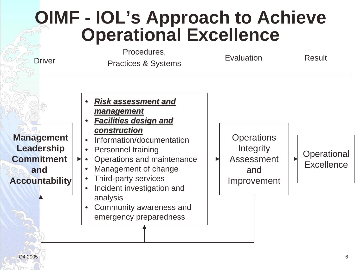#### **OIMF - IOL's Approach to Achieve Operational Excellence** Procedures, **Driver** Practices & Systems **Evaluation** Result **Management Leadership Commitment and Accountability** • *Risk assessment and Risk assessment and management management* •**Facilities design and** *construction construction*• Information/documentation• Personnel training • Operations and maintenance • Management of change • Third-party services • Incident investigation and analysis • Community awareness and emergency preparedness **Operations Integrity** Assessment and Improvement **Operational Excellence**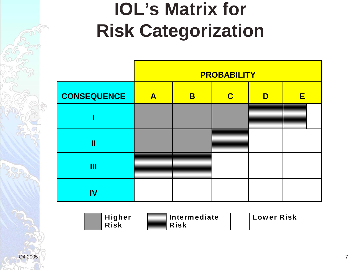# **IOL's Matrix for Risk Categorization**

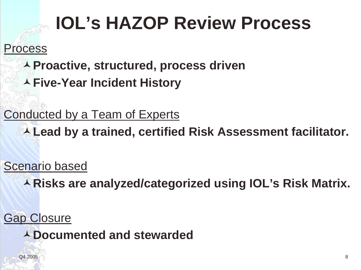# **IOL's HAZOP Review Process**

Process

**Proactive, structured, process driven**

**Five-Year Incident History**

Conducted by a Team of Experts

**Lead by a trained, certified Risk Assessment facilitator.**

Scenario based

**Risks are analyzed/categorized using IOL's Risk Matrix.**

Gap Closure **Documented and stewarded**